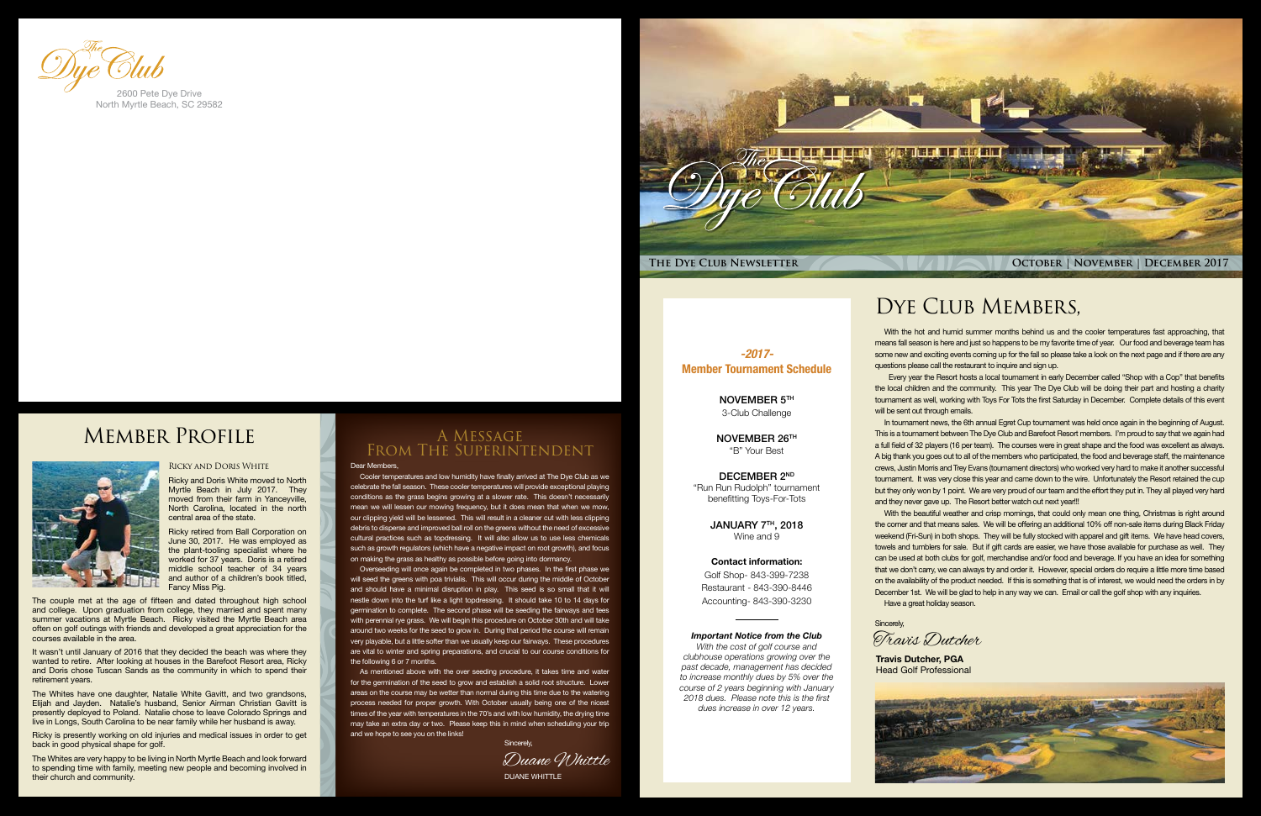

*-2017-* Member Tournament Schedule

NOVEMBER 5TH

DECEMBER 2ND "Run Run Rudolph" tournament benefitting Toys-For-Tots

> JANUARY 7TH, 2018 Wine and 9

3-Club Challenge

NOVEMBER 26TH "B" Your Best

### Contact information:

Golf Shop- 843-399-7238 Restaurant - 843-390-8446 Accounting- 843-390-3230

### *Important Notice from the Club*

*With the cost of golf course and clubhouse operations growing over the past decade, management has decided to increase monthly dues by 5% over the course of 2 years beginning with January 2018 dues. Please note this is the first dues increase in over 12 years.*

## DYE CLUB MEMBERS,

### Dear Members,

Cooler temperatures and low humidity have finally arrived at The Dye Club as we celebrate the fall season. These cooler temperatures will provide exceptional playing conditions as the grass begins growing at a slower rate. This doesn't necessarily mean we will lessen our mowing frequency, but it does mean that when we mow, our clipping yield will be lessened. This will result in a cleaner cut with less clipping debris to disperse and improved ball roll on the greens without the need of excessive cultural practices such as topdressing. It will also allow us to use less chemicals such as growth regulators (which have a negative impact on root growth), and focus on making the grass as healthy as possible before going into dormancy.

 Every year the Resort hosts a local tournament in early December called "Shop with a Cop" that benefits the local children and the community. This year The Dye Club will be doing their part and hosting a charity tournament as well, working with Toys For Tots the first Saturday in December. Complete details of this event will be sent out through emails.

In tournament news, the 6th annual Egret Cup tournament was held once again in the beginning of August. This is a tournament between The Dye Club and Barefoot Resort members. I'm proud to say that we again had a full field of 32 players (16 per team). The courses were in great shape and the food was excellent as always. A big thank you goes out to all of the members who participated, the food and beverage staff, the maintenance crews, Justin Morris and Trey Evans (tournament directors) who worked very hard to make it another successful tournament. It was very close this year and came down to the wire. Unfortunately the Resort retained the cup but they only won by 1 point. We are very proud of our team and the effort they put in. They all played very hard and they never gave up. The Resort better watch out next year!!!

Overseeding will once again be completed in two phases. In the first phase we will seed the greens with poa trivialis. This will occur during the middle of October and should have a minimal disruption in play. This seed is so small that it will nestle down into the turf like a light topdressing. It should take 10 to 14 days for germination to complete. The second phase will be seeding the fairways and tees with perennial rye grass. We will begin this procedure on October 30th and will take around two weeks for the seed to grow in. During that period the course will remain very playable, but a little softer than we usually keep our fairways. These procedures are vital to winter and spring preparations, and crucial to our course conditions for the following 6 or 7 months.

As mentioned above with the over seeding procedure, it takes time and water for the germination of the seed to grow and establish a solid root structure. Lower areas on the course may be wetter than normal during this time due to the watering process needed for proper growth. With October usually being one of the nicest times of the year with temperatures in the 70's and with low humidity, the drying time may take an extra day or two. Please keep this in mind when scheduling your trip and we hope to see you on the links!

With the beautiful weather and crisp mornings, that could only mean one thing, Christmas is right around the corner and that means sales. We will be offering an additional 10% off non-sale items during Black Friday weekend (Fri-Sun) in both shops. They will be fully stocked with apparel and gift items. We have head covers, towels and tumblers for sale. But if gift cards are easier, we have those available for purchase as well. They can be used at both clubs for golf, merchandise and/or food and beverage. If you have an idea for something that we don't carry, we can always try and order it. However, special orders do require a little more time based on the availability of the product needed. If this is something that is of interest, we would need the orders in by December 1st. We will be glad to help in any way we can. Email or call the golf shop with any inquiries. Have a great holiday season.



## A Message From The Superintendent

With the hot and humid summer months behind us and the cooler temperatures fast approaching, that means fall season is here and just so happens to be my favorite time of year. Our food and beverage team has some new and exciting events coming up for the fall so please take a look on the next page and if there are any questions please call the restaurant to inquire and sign up.

### Ricky and Doris White

Ricky and Doris White moved to North Myrtle Beach in July 2017. They moved from their farm in Yanceyville, North Carolina, located in the north central area of the state.

Ricky retired from Ball Corporation on June 30, 2017. He was employed as the plant-tooling specialist where he worked for 37 years. Doris is a retired middle school teacher of 34 years and author of a children's book titled, Fancy Miss Pig.

The couple met at the age of fifteen and dated throughout high school and college. Upon graduation from college, they married and spent many summer vacations at Myrtle Beach. Ricky visited the Myrtle Beach area often on golf outings with friends and developed a great appreciation for the courses available in the area.



It wasn't until January of 2016 that they decided the beach was where they wanted to retire. After looking at houses in the Barefoot Resort area. Ricky and Doris chose Tuscan Sands as the community in which to spend their retirement years.

The Whites have one daughter, Natalie White Gavitt, and two grandsons, Elijah and Jayden. Natalie's husband, Senior Airman Christian Gavitt is presently deployed to Poland. Natalie chose to leave Colorado Springs and live in Longs, South Carolina to be near family while her husband is away.

Ricky is presently working on old injuries and medical issues in order to get back in good physical shape for golf.

The Whites are very happy to be living in North Myrtle Beach and look forward to spending time with family, meeting new people and becoming involved in their church and community.



North Myrtle Beach, SC 29582

## Member Profile



DUANE WHITTLE Duane Whittle Sincerely,

**Travis Dutcher, PGA** Head Golf Professional